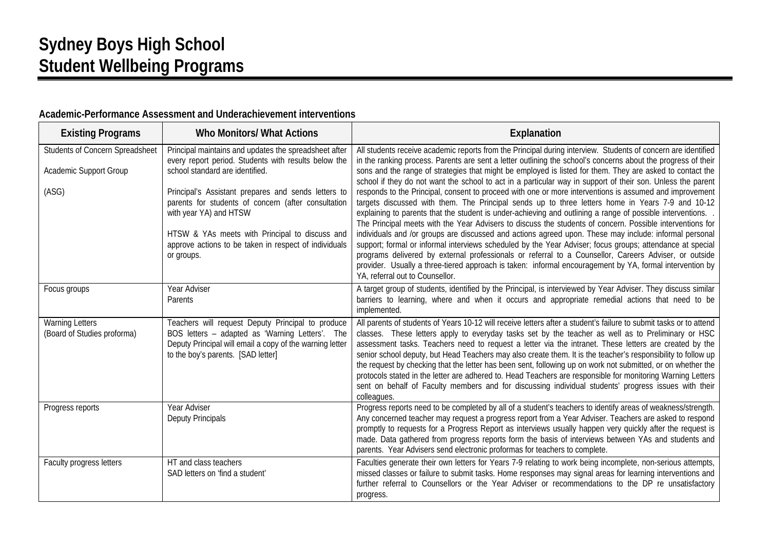# **Sydney Boys High School Student Wellbeing Programs**

| <b>Existing Programs</b>                                           | <b>Who Monitors/ What Actions</b>                                                                                                                                                                                                                                                                                                                                                                                 | Explanation                                                                                                                                                                                                                                                                                                                                                                                                                                                                                                                                                                                                                                                                                                                                                                                                                                                                                                                                                                                                                                                                                                                                                                                                                                                                                                                                        |
|--------------------------------------------------------------------|-------------------------------------------------------------------------------------------------------------------------------------------------------------------------------------------------------------------------------------------------------------------------------------------------------------------------------------------------------------------------------------------------------------------|----------------------------------------------------------------------------------------------------------------------------------------------------------------------------------------------------------------------------------------------------------------------------------------------------------------------------------------------------------------------------------------------------------------------------------------------------------------------------------------------------------------------------------------------------------------------------------------------------------------------------------------------------------------------------------------------------------------------------------------------------------------------------------------------------------------------------------------------------------------------------------------------------------------------------------------------------------------------------------------------------------------------------------------------------------------------------------------------------------------------------------------------------------------------------------------------------------------------------------------------------------------------------------------------------------------------------------------------------|
| Students of Concern Spreadsheet<br>Academic Support Group<br>(ASG) | Principal maintains and updates the spreadsheet after<br>every report period. Students with results below the<br>school standard are identified.<br>Principal's Assistant prepares and sends letters to<br>parents for students of concern (after consultation<br>with year YA) and HTSW<br>HTSW & YAs meets with Principal to discuss and<br>approve actions to be taken in respect of individuals<br>or groups. | All students receive academic reports from the Principal during interview. Students of concern are identified<br>in the ranking process. Parents are sent a letter outlining the school's concerns about the progress of their<br>sons and the range of strategies that might be employed is listed for them. They are asked to contact the<br>school if they do not want the school to act in a particular way in support of their son. Unless the parent<br>responds to the Principal, consent to proceed with one or more interventions is assumed and improvement<br>targets discussed with them. The Principal sends up to three letters home in Years 7-9 and 10-12<br>explaining to parents that the student is under-achieving and outlining a range of possible interventions. .<br>The Principal meets with the Year Advisers to discuss the students of concern. Possible interventions for<br>individuals and /or groups are discussed and actions agreed upon. These may include: informal personal<br>support; formal or informal interviews scheduled by the Year Adviser; focus groups; attendance at special<br>programs delivered by external professionals or referral to a Counsellor, Careers Adviser, or outside<br>provider. Usually a three-tiered approach is taken: informal encouragement by YA, formal intervention by |
| Focus groups                                                       | Year Adviser<br>Parents                                                                                                                                                                                                                                                                                                                                                                                           | YA, referral out to Counsellor.<br>A target group of students, identified by the Principal, is interviewed by Year Adviser. They discuss similar<br>barriers to learning, where and when it occurs and appropriate remedial actions that need to be<br>implemented.                                                                                                                                                                                                                                                                                                                                                                                                                                                                                                                                                                                                                                                                                                                                                                                                                                                                                                                                                                                                                                                                                |
| <b>Warning Letters</b><br>(Board of Studies proforma)              | Teachers will request Deputy Principal to produce<br>BOS letters - adapted as 'Warning Letters'. The<br>Deputy Principal will email a copy of the warning letter<br>to the boy's parents. [SAD letter]                                                                                                                                                                                                            | All parents of students of Years 10-12 will receive letters after a student's failure to submit tasks or to attend<br>classes. These letters apply to everyday tasks set by the teacher as well as to Preliminary or HSC<br>assessment tasks. Teachers need to request a letter via the intranet. These letters are created by the<br>senior school deputy, but Head Teachers may also create them. It is the teacher's responsibility to follow up<br>the request by checking that the letter has been sent, following up on work not submitted, or on whether the<br>protocols stated in the letter are adhered to. Head Teachers are responsible for monitoring Warning Letters<br>sent on behalf of Faculty members and for discussing individual students' progress issues with their<br>colleagues.                                                                                                                                                                                                                                                                                                                                                                                                                                                                                                                                          |
| Progress reports                                                   | Year Adviser<br><b>Deputy Principals</b>                                                                                                                                                                                                                                                                                                                                                                          | Progress reports need to be completed by all of a student's teachers to identify areas of weakness/strength.<br>Any concerned teacher may request a progress report from a Year Adviser. Teachers are asked to respond<br>promptly to requests for a Progress Report as interviews usually happen very quickly after the request is<br>made. Data gathered from progress reports form the basis of interviews between YAs and students and<br>parents. Year Advisers send electronic proformas for teachers to complete.                                                                                                                                                                                                                                                                                                                                                                                                                                                                                                                                                                                                                                                                                                                                                                                                                           |
| Faculty progress letters                                           | HT and class teachers<br>SAD letters on 'find a student'                                                                                                                                                                                                                                                                                                                                                          | Faculties generate their own letters for Years 7-9 relating to work being incomplete, non-serious attempts,<br>missed classes or failure to submit tasks. Home responses may signal areas for learning interventions and<br>further referral to Counsellors or the Year Adviser or recommendations to the DP re unsatisfactory<br>progress.                                                                                                                                                                                                                                                                                                                                                                                                                                                                                                                                                                                                                                                                                                                                                                                                                                                                                                                                                                                                        |

#### **Academic-Performance Assessment and Underachievement interventions**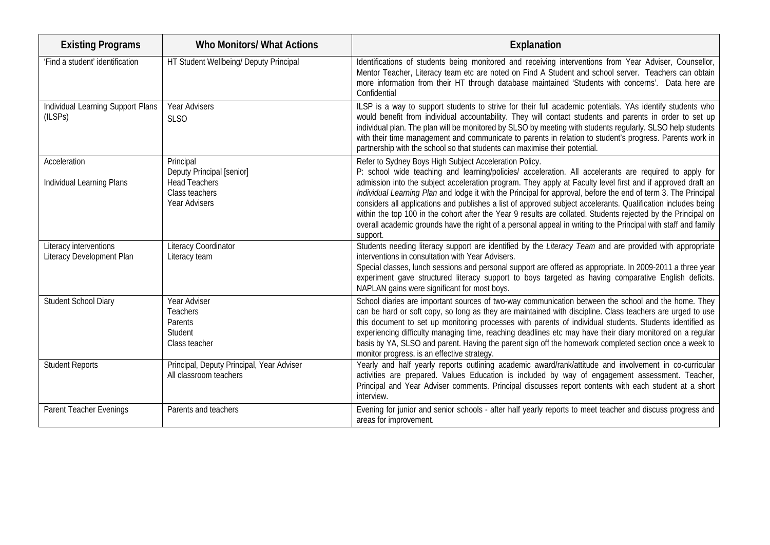| <b>Existing Programs</b>                            | <b>Who Monitors/ What Actions</b>                                                                        | Explanation                                                                                                                                                                                                                                                                                                                                                                                                                                                                                                                                                                                                                                                                                                                                                       |
|-----------------------------------------------------|----------------------------------------------------------------------------------------------------------|-------------------------------------------------------------------------------------------------------------------------------------------------------------------------------------------------------------------------------------------------------------------------------------------------------------------------------------------------------------------------------------------------------------------------------------------------------------------------------------------------------------------------------------------------------------------------------------------------------------------------------------------------------------------------------------------------------------------------------------------------------------------|
| 'Find a student' identification                     | HT Student Wellbeing/ Deputy Principal                                                                   | Identifications of students being monitored and receiving interventions from Year Adviser, Counsellor,<br>Mentor Teacher, Literacy team etc are noted on Find A Student and school server. Teachers can obtain<br>more information from their HT through database maintained 'Students with concerns'. Data here are<br>Confidential                                                                                                                                                                                                                                                                                                                                                                                                                              |
| Individual Learning Support Plans<br>(ILSPs)        | <b>Year Advisers</b><br><b>SLSO</b>                                                                      | ILSP is a way to support students to strive for their full academic potentials. YAs identify students who<br>would benefit from individual accountability. They will contact students and parents in order to set up<br>individual plan. The plan will be monitored by SLSO by meeting with students regularly. SLSO help students<br>with their time management and communicate to parents in relation to student's progress. Parents work in<br>partnership with the school so that students can maximise their potential.                                                                                                                                                                                                                                      |
| Acceleration<br>Individual Learning Plans           | Principal<br><b>Deputy Principal [senior]</b><br><b>Head Teachers</b><br>Class teachers<br>Year Advisers | Refer to Sydney Boys High Subject Acceleration Policy.<br>P: school wide teaching and learning/policies/ acceleration. All accelerants are required to apply for<br>admission into the subject acceleration program. They apply at Faculty level first and if approved draft an<br>Individual Learning Plan and lodge it with the Principal for approval, before the end of term 3. The Principal<br>considers all applications and publishes a list of approved subject accelerants. Qualification includes being<br>within the top 100 in the cohort after the Year 9 results are collated. Students rejected by the Principal on<br>overall academic grounds have the right of a personal appeal in writing to the Principal with staff and family<br>support. |
| Literacy interventions<br>Literacy Development Plan | Literacy Coordinator<br>Literacy team                                                                    | Students needing literacy support are identified by the Literacy Team and are provided with appropriate<br>interventions in consultation with Year Advisers.<br>Special classes, lunch sessions and personal support are offered as appropriate. In 2009-2011 a three year<br>experiment gave structured literacy support to boys targeted as having comparative English deficits.<br>NAPLAN gains were significant for most boys.                                                                                                                                                                                                                                                                                                                                |
| Student School Diary                                | Year Adviser<br>Teachers<br>Parents<br>Student<br>Class teacher                                          | School diaries are important sources of two-way communication between the school and the home. They<br>can be hard or soft copy, so long as they are maintained with discipline. Class teachers are urged to use<br>this document to set up monitoring processes with parents of individual students. Students identified as<br>experiencing difficulty managing time, reaching deadlines etc may have their diary monitored on a regular<br>basis by YA, SLSO and parent. Having the parent sign off the homework completed section once a week to<br>monitor progress, is an effective strategy.                                                                                                                                                                |
| <b>Student Reports</b>                              | Principal, Deputy Principal, Year Adviser<br>All classroom teachers                                      | Yearly and half yearly reports outlining academic award/rank/attitude and involvement in co-curricular<br>activities are prepared. Values Education is included by way of engagement assessment. Teacher,<br>Principal and Year Adviser comments. Principal discusses report contents with each student at a short<br>interview.                                                                                                                                                                                                                                                                                                                                                                                                                                  |
| Parent Teacher Evenings                             | Parents and teachers                                                                                     | Evening for junior and senior schools - after half yearly reports to meet teacher and discuss progress and<br>areas for improvement.                                                                                                                                                                                                                                                                                                                                                                                                                                                                                                                                                                                                                              |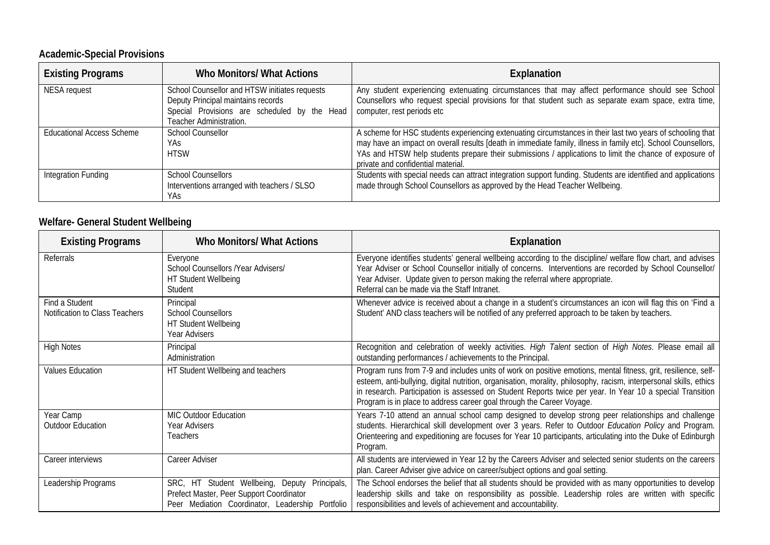#### **Academic-Special Provisions**

| <b>Existing Programs</b>         | Who Monitors/ What Actions                                                                                                                                     | <b>Explanation</b>                                                                                                                                                                                                                                                                                                                                                          |
|----------------------------------|----------------------------------------------------------------------------------------------------------------------------------------------------------------|-----------------------------------------------------------------------------------------------------------------------------------------------------------------------------------------------------------------------------------------------------------------------------------------------------------------------------------------------------------------------------|
| <b>NESA</b> request              | School Counsellor and HTSW initiates requests<br>Deputy Principal maintains records<br>Special Provisions are scheduled by the Head<br>Teacher Administration. | Any student experiencing extenuating circumstances that may affect performance should see School<br>Counsellors who request special provisions for that student such as separate exam space, extra time,<br>computer, rest periods etc                                                                                                                                      |
| <b>Educational Access Scheme</b> | <b>School Counsellor</b><br>YAs<br><b>HTSW</b>                                                                                                                 | A scheme for HSC students experiencing extenuating circumstances in their last two years of schooling that<br>may have an impact on overall results [death in immediate family, illness in family etc]. School Counsellors,<br>YAs and HTSW help students prepare their submissions / applications to limit the chance of exposure of<br>private and confidential material. |
| Integration Funding              | <b>School Counsellors</b><br>Interventions arranged with teachers / SLSO<br>YAs                                                                                | Students with special needs can attract integration support funding. Students are identified and applications<br>made through School Counsellors as approved by the Head Teacher Wellbeing.                                                                                                                                                                                 |

#### **Welfare- General Student Wellbeing**

| <b>Existing Programs</b>                         | <b>Who Monitors/ What Actions</b>                                                                                                             | Explanation                                                                                                                                                                                                                                                                                                                                                                                                                |
|--------------------------------------------------|-----------------------------------------------------------------------------------------------------------------------------------------------|----------------------------------------------------------------------------------------------------------------------------------------------------------------------------------------------------------------------------------------------------------------------------------------------------------------------------------------------------------------------------------------------------------------------------|
| Referrals                                        | Everyone<br>School Counsellors /Year Advisers/<br>HT Student Wellbeing<br>Student                                                             | Everyone identifies students' general wellbeing according to the discipline/ welfare flow chart, and advises<br>Year Adviser or School Counsellor initially of concerns. Interventions are recorded by School Counsellor/<br>Year Adviser. Update given to person making the referral where appropriate.<br>Referral can be made via the Staff Intranet.                                                                   |
| Find a Student<br>Notification to Class Teachers | Principal<br><b>School Counsellors</b><br>HT Student Wellbeing<br>Year Advisers                                                               | Whenever advice is received about a change in a student's circumstances an icon will flag this on 'Find a<br>Student' AND class teachers will be notified of any preferred approach to be taken by teachers.                                                                                                                                                                                                               |
| <b>High Notes</b>                                | Principal<br>Administration                                                                                                                   | Recognition and celebration of weekly activities. High Talent section of High Notes. Please email all<br>outstanding performances / achievements to the Principal.                                                                                                                                                                                                                                                         |
| <b>Values Education</b>                          | HT Student Wellbeing and teachers                                                                                                             | Program runs from 7-9 and includes units of work on positive emotions, mental fitness, grit, resilience, self-<br>esteem, anti-bullying, digital nutrition, organisation, morality, philosophy, racism, interpersonal skills, ethics<br>in research. Participation is assessed on Student Reports twice per year. In Year 10 a special Transition<br>Program is in place to address career goal through the Career Voyage. |
| Year Camp<br><b>Outdoor Education</b>            | <b>MIC Outdoor Education</b><br>Year Advisers<br>Teachers                                                                                     | Years 7-10 attend an annual school camp designed to develop strong peer relationships and challenge<br>students. Hierarchical skill development over 3 years. Refer to Outdoor Education Policy and Program.<br>Orienteering and expeditioning are focuses for Year 10 participants, articulating into the Duke of Edinburgh<br>Program.                                                                                   |
| Career interviews                                | Career Adviser                                                                                                                                | All students are interviewed in Year 12 by the Careers Adviser and selected senior students on the careers<br>plan. Career Adviser give advice on career/subject options and goal setting.                                                                                                                                                                                                                                 |
| Leadership Programs                              | SRC, HT Student Wellbeing, Deputy Principals,<br>Prefect Master, Peer Support Coordinator<br>Peer Mediation Coordinator, Leadership Portfolio | The School endorses the belief that all students should be provided with as many opportunities to develop<br>leadership skills and take on responsibility as possible. Leadership roles are written with specific<br>responsibilities and levels of achievement and accountability.                                                                                                                                        |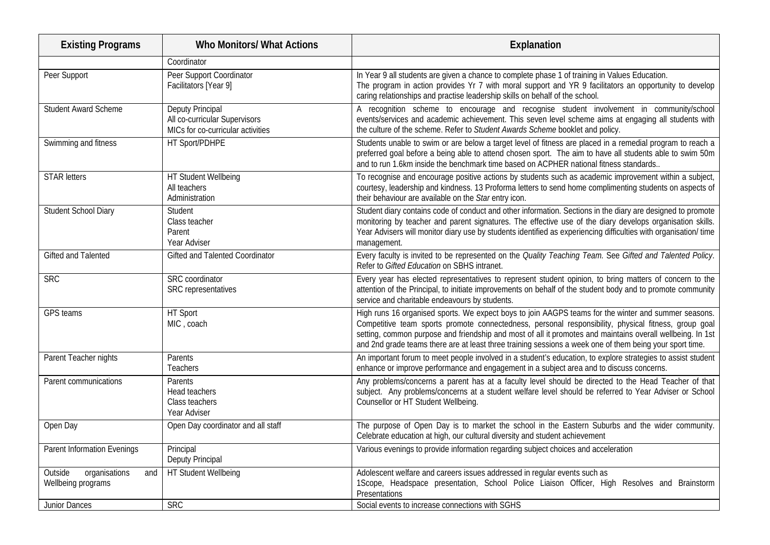| <b>Existing Programs</b>                              | <b>Who Monitors/ What Actions</b>                                                      | Explanation                                                                                                                                                                                                                                                                                                                                                                                                                            |
|-------------------------------------------------------|----------------------------------------------------------------------------------------|----------------------------------------------------------------------------------------------------------------------------------------------------------------------------------------------------------------------------------------------------------------------------------------------------------------------------------------------------------------------------------------------------------------------------------------|
|                                                       | Coordinator                                                                            |                                                                                                                                                                                                                                                                                                                                                                                                                                        |
| Peer Support                                          | Peer Support Coordinator<br>Facilitators [Year 9]                                      | In Year 9 all students are given a chance to complete phase 1 of training in Values Education.<br>The program in action provides Yr 7 with moral support and YR 9 facilitators an opportunity to develop<br>caring relationships and practise leadership skills on behalf of the school.                                                                                                                                               |
| <b>Student Award Scheme</b>                           | Deputy Principal<br>All co-curricular Supervisors<br>MICs for co-curricular activities | A recognition scheme to encourage and recognise student involvement in community/school<br>events/services and academic achievement. This seven level scheme aims at engaging all students with<br>the culture of the scheme. Refer to Student Awards Scheme booklet and policy.                                                                                                                                                       |
| Swimming and fitness                                  | HT Sport/PDHPE                                                                         | Students unable to swim or are below a target level of fitness are placed in a remedial program to reach a<br>preferred goal before a being able to attend chosen sport. The aim to have all students able to swim 50m<br>and to run 1.6km inside the benchmark time based on ACPHER national fitness standards                                                                                                                        |
| <b>STAR letters</b>                                   | HT Student Wellbeing<br>All teachers<br>Administration                                 | To recognise and encourage positive actions by students such as academic improvement within a subject,<br>courtesy, leadership and kindness. 13 Proforma letters to send home complimenting students on aspects of<br>their behaviour are available on the Star entry icon.                                                                                                                                                            |
| Student School Diary                                  | Student<br>Class teacher<br>Parent<br>Year Adviser                                     | Student diary contains code of conduct and other information. Sections in the diary are designed to promote<br>monitoring by teacher and parent signatures. The effective use of the diary develops organisation skills.<br>Year Advisers will monitor diary use by students identified as experiencing difficulties with organisation/time<br>management.                                                                             |
| <b>Gifted and Talented</b>                            | Gifted and Talented Coordinator                                                        | Every faculty is invited to be represented on the Quality Teaching Team. See Gifted and Talented Policy.<br>Refer to Gifted Education on SBHS intranet.                                                                                                                                                                                                                                                                                |
| <b>SRC</b>                                            | <b>SRC</b> coordinator<br>SRC representatives                                          | Every year has elected representatives to represent student opinion, to bring matters of concern to the<br>attention of the Principal, to initiate improvements on behalf of the student body and to promote community<br>service and charitable endeavours by students.                                                                                                                                                               |
| GPS teams                                             | HT Sport<br>MIC, coach                                                                 | High runs 16 organised sports. We expect boys to join AAGPS teams for the winter and summer seasons.<br>Competitive team sports promote connectedness, personal responsibility, physical fitness, group goal<br>setting, common purpose and friendship and most of all it promotes and maintains overall wellbeing. In 1st<br>and 2nd grade teams there are at least three training sessions a week one of them being your sport time. |
| Parent Teacher nights                                 | <b>Parents</b><br>Teachers                                                             | An important forum to meet people involved in a student's education, to explore strategies to assist student<br>enhance or improve performance and engagement in a subject area and to discuss concerns.                                                                                                                                                                                                                               |
| Parent communications                                 | Parents<br>Head teachers<br>Class teachers<br>Year Adviser                             | Any problems/concerns a parent has at a faculty level should be directed to the Head Teacher of that<br>subject. Any problems/concerns at a student welfare level should be referred to Year Adviser or School<br>Counsellor or HT Student Wellbeing.                                                                                                                                                                                  |
| Open Day                                              | Open Day coordinator and all staff                                                     | The purpose of Open Day is to market the school in the Eastern Suburbs and the wider community.<br>Celebrate education at high, our cultural diversity and student achievement                                                                                                                                                                                                                                                         |
| <b>Parent Information Evenings</b>                    | Principal<br>Deputy Principal                                                          | Various evenings to provide information regarding subject choices and acceleration                                                                                                                                                                                                                                                                                                                                                     |
| Outside<br>organisations<br>and<br>Wellbeing programs | HT Student Wellbeing                                                                   | Adolescent welfare and careers issues addressed in regular events such as<br>1Scope, Headspace presentation, School Police Liaison Officer, High Resolves and Brainstorm<br>Presentations                                                                                                                                                                                                                                              |
| <b>Junior Dances</b>                                  | <b>SRC</b>                                                                             | Social events to increase connections with SGHS                                                                                                                                                                                                                                                                                                                                                                                        |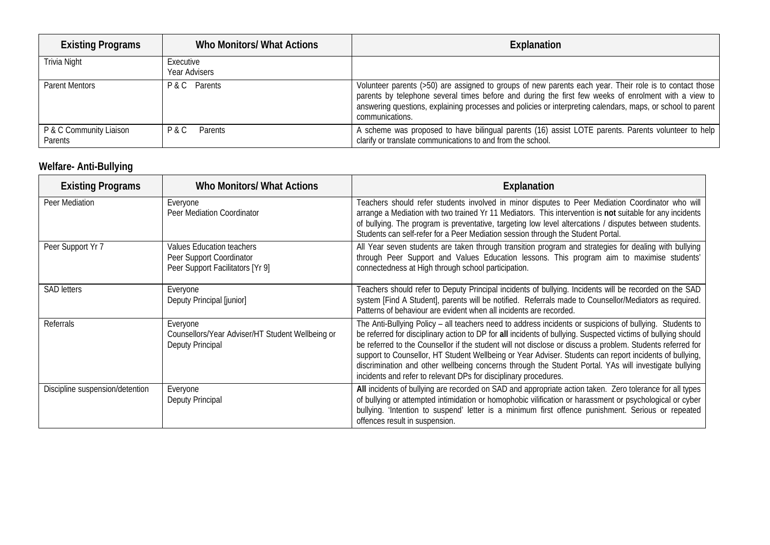| <b>Existing Programs</b>           | Who Monitors/ What Actions | Explanation                                                                                                                                                                                                                                                                                                                                       |
|------------------------------------|----------------------------|---------------------------------------------------------------------------------------------------------------------------------------------------------------------------------------------------------------------------------------------------------------------------------------------------------------------------------------------------|
| Trivia Night                       | Executive<br>Year Advisers |                                                                                                                                                                                                                                                                                                                                                   |
| <b>Parent Mentors</b>              | P & C Parents              | Volunteer parents (>50) are assigned to groups of new parents each year. Their role is to contact those<br>parents by telephone several times before and during the first few weeks of enrolment with a view to<br>answering questions, explaining processes and policies or interpreting calendars, maps, or school to parent<br>communications. |
| P & C Community Liaison<br>Parents | Parents<br>P & C           | A scheme was proposed to have bilingual parents (16) assist LOTE parents. Parents volunteer to help<br>clarify or translate communications to and from the school.                                                                                                                                                                                |

### **Welfare- Anti-Bullying**

| <b>Existing Programs</b>        | <b>Who Monitors/ What Actions</b>                                                         | Explanation                                                                                                                                                                                                                                                                                                                                                                                                                                                                                                                                                                                                                     |
|---------------------------------|-------------------------------------------------------------------------------------------|---------------------------------------------------------------------------------------------------------------------------------------------------------------------------------------------------------------------------------------------------------------------------------------------------------------------------------------------------------------------------------------------------------------------------------------------------------------------------------------------------------------------------------------------------------------------------------------------------------------------------------|
| Peer Mediation                  | Everyone<br>Peer Mediation Coordinator                                                    | Teachers should refer students involved in minor disputes to Peer Mediation Coordinator who will<br>arrange a Mediation with two trained Yr 11 Mediators. This intervention is not suitable for any incidents<br>of bullying. The program is preventative, targeting low level altercations / disputes between students.<br>Students can self-refer for a Peer Mediation session through the Student Portal.                                                                                                                                                                                                                    |
| Peer Support Yr 7               | Values Education teachers<br>Peer Support Coordinator<br>Peer Support Facilitators [Yr 9] | All Year seven students are taken through transition program and strategies for dealing with bullying<br>through Peer Support and Values Education lessons. This program aim to maximise students'<br>connectedness at High through school participation.                                                                                                                                                                                                                                                                                                                                                                       |
| <b>SAD letters</b>              | Everyone<br>Deputy Principal [junior]                                                     | Teachers should refer to Deputy Principal incidents of bullying. Incidents will be recorded on the SAD<br>system [Find A Student], parents will be notified. Referrals made to Counsellor/Mediators as required.<br>Patterns of behaviour are evident when all incidents are recorded.                                                                                                                                                                                                                                                                                                                                          |
| Referrals                       | Everyone<br>Counsellors/Year Adviser/HT Student Wellbeing or<br><b>Deputy Principal</b>   | The Anti-Bullying Policy - all teachers need to address incidents or suspicions of bullying. Students to<br>be referred for disciplinary action to DP for all incidents of bullying. Suspected victims of bullying should<br>be referred to the Counsellor if the student will not disclose or discuss a problem. Students referred for<br>support to Counsellor, HT Student Wellbeing or Year Adviser. Students can report incidents of bullying,<br>discrimination and other wellbeing concerns through the Student Portal. YAs will investigate bullying<br>incidents and refer to relevant DPs for disciplinary procedures. |
| Discipline suspension/detention | Everyone<br><b>Deputy Principal</b>                                                       | All incidents of bullying are recorded on SAD and appropriate action taken. Zero tolerance for all types<br>of bullying or attempted intimidation or homophobic vilification or harassment or psychological or cyber<br>bullying. 'Intention to suspend' letter is a minimum first offence punishment. Serious or repeated<br>offences result in suspension.                                                                                                                                                                                                                                                                    |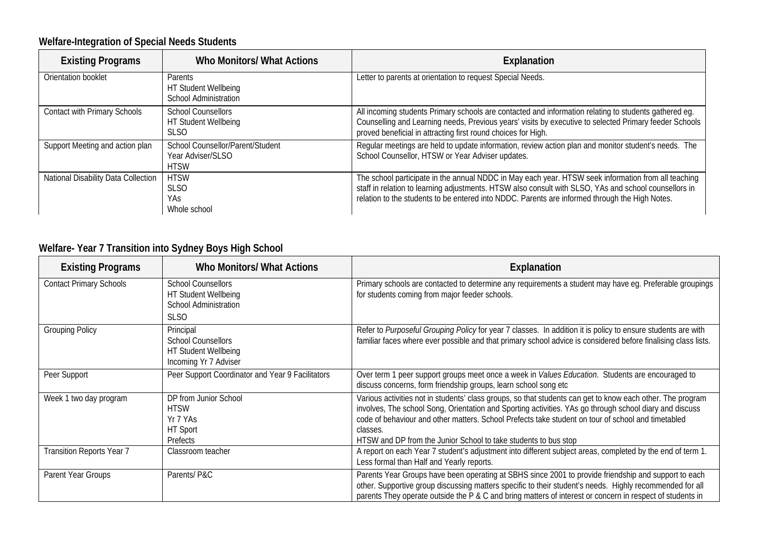### **Welfare-Integration of Special Needs Students**

| <b>Existing Programs</b>            | Who Monitors/ What Actions                                           | Explanation                                                                                                                                                                                                                                                                                                    |
|-------------------------------------|----------------------------------------------------------------------|----------------------------------------------------------------------------------------------------------------------------------------------------------------------------------------------------------------------------------------------------------------------------------------------------------------|
| Orientation booklet                 | Parents<br>HT Student Wellbeing<br><b>School Administration</b>      | Letter to parents at orientation to request Special Needs.                                                                                                                                                                                                                                                     |
| Contact with Primary Schools        | <b>School Counsellors</b><br>HT Student Wellbeing<br><b>SLSO</b>     | All incoming students Primary schools are contacted and information relating to students gathered eg.<br>Counselling and Learning needs, Previous years' visits by executive to selected Primary feeder Schools<br>proved beneficial in attracting first round choices for High.                               |
| Support Meeting and action plan     | School Counsellor/Parent/Student<br>Year Adviser/SLSO<br><b>HTSW</b> | Regular meetings are held to update information, review action plan and monitor student's needs. The<br>School Counsellor, HTSW or Year Adviser updates.                                                                                                                                                       |
| National Disability Data Collection | <b>HTSW</b><br><b>SLSO</b><br>YAs.<br>Whole school                   | The school participate in the annual NDDC in May each year. HTSW seek information from all teaching<br>staff in relation to learning adjustments. HTSW also consult with SLSO, YAs and school counsellors in<br>relation to the students to be entered into NDDC. Parents are informed through the High Notes. |

### **Welfare- Year 7 Transition into Sydney Boys High School**

| <b>Existing Programs</b>       | <b>Who Monitors/ What Actions</b>                                                                | Explanation                                                                                                                                                                                                                                                                                                                                                                                                |
|--------------------------------|--------------------------------------------------------------------------------------------------|------------------------------------------------------------------------------------------------------------------------------------------------------------------------------------------------------------------------------------------------------------------------------------------------------------------------------------------------------------------------------------------------------------|
| <b>Contact Primary Schools</b> | <b>School Counsellors</b><br>HT Student Wellbeing<br><b>School Administration</b><br><b>SLSO</b> | Primary schools are contacted to determine any requirements a student may have eg. Preferable groupings<br>for students coming from major feeder schools.                                                                                                                                                                                                                                                  |
| <b>Grouping Policy</b>         | Principal<br><b>School Counsellors</b><br>HT Student Wellbeing<br>Incoming Yr 7 Adviser          | Refer to Purposeful Grouping Policy for year 7 classes. In addition it is policy to ensure students are with<br>familiar faces where ever possible and that primary school advice is considered before finalising class lists.                                                                                                                                                                             |
| Peer Support                   | Peer Support Coordinator and Year 9 Facilitators                                                 | Over term 1 peer support groups meet once a week in Values Education. Students are encouraged to<br>discuss concerns, form friendship groups, learn school song etc                                                                                                                                                                                                                                        |
| Week 1 two day program         | DP from Junior School<br><b>HTSW</b><br>Yr 7 YAs<br>HT Sport<br>Prefects                         | Various activities not in students' class groups, so that students can get to know each other. The program<br>involves, The school Song, Orientation and Sporting activities. YAs go through school diary and discuss<br>code of behaviour and other matters. School Prefects take student on tour of school and timetabled<br>classes.<br>HTSW and DP from the Junior School to take students to bus stop |
| Transition Reports Year 7      | Classroom teacher                                                                                | A report on each Year 7 student's adjustment into different subject areas, completed by the end of term 1.<br>Less formal than Half and Yearly reports.                                                                                                                                                                                                                                                    |
| Parent Year Groups             | Parents/P&C                                                                                      | Parents Year Groups have been operating at SBHS since 2001 to provide friendship and support to each<br>other. Supportive group discussing matters specific to their student's needs. Highly recommended for all<br>parents They operate outside the P & C and bring matters of interest or concern in respect of students in                                                                              |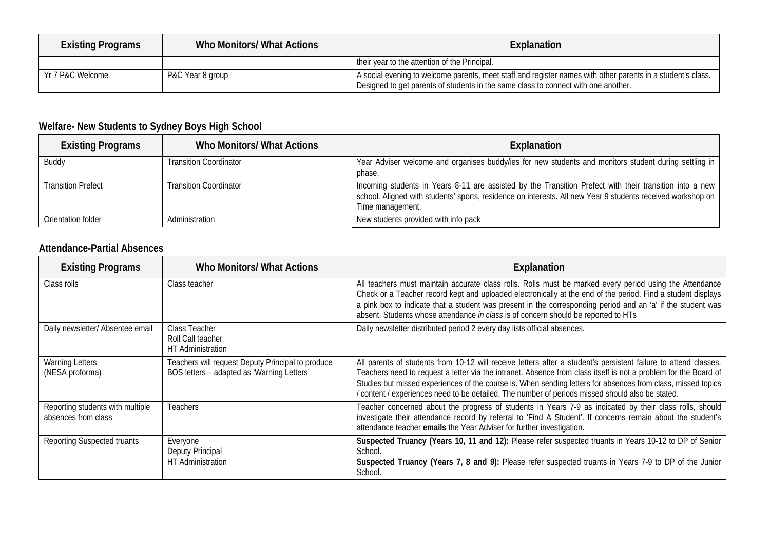| <b>Existing Programs</b> | Who Monitors/ What Actions | Explanation                                                                                                                                                                                       |
|--------------------------|----------------------------|---------------------------------------------------------------------------------------------------------------------------------------------------------------------------------------------------|
|                          |                            | their year to the attention of the Principal.                                                                                                                                                     |
| Yr 7 P&C Welcome         | P&C Year 8 group           | A social evening to welcome parents, meet staff and register names with other parents in a student's class.<br>Designed to get parents of students in the same class to connect with one another. |

### **Welfare- New Students to Sydney Boys High School**

| <b>Existing Programs</b>  | Who Monitors/ What Actions    | Explanation                                                                                                                                                                                                                                |
|---------------------------|-------------------------------|--------------------------------------------------------------------------------------------------------------------------------------------------------------------------------------------------------------------------------------------|
| Buddy                     | <b>Transition Coordinator</b> | Year Adviser welcome and organises buddy/ies for new students and monitors student during settling in<br>phase.                                                                                                                            |
| <b>Transition Prefect</b> | <b>Transition Coordinator</b> | Incoming students in Years 8-11 are assisted by the Transition Prefect with their transition into a new<br>school. Aligned with students' sports, residence on interests. All new Year 9 students received workshop on<br>Time management. |
| Orientation folder        | Administration                | New students provided with info pack                                                                                                                                                                                                       |

#### **Attendance-Partial Absences**

| <b>Existing Programs</b>                                | <b>Who Monitors/ What Actions</b>                                                               | Explanation                                                                                                                                                                                                                                                                                                                                                                                                                                            |
|---------------------------------------------------------|-------------------------------------------------------------------------------------------------|--------------------------------------------------------------------------------------------------------------------------------------------------------------------------------------------------------------------------------------------------------------------------------------------------------------------------------------------------------------------------------------------------------------------------------------------------------|
| Class rolls                                             | Class teacher                                                                                   | All teachers must maintain accurate class rolls. Rolls must be marked every period using the Attendance<br>Check or a Teacher record kept and uploaded electronically at the end of the period. Find a student displays<br>a pink box to indicate that a student was present in the corresponding period and an 'a' if the student was<br>absent. Students whose attendance in class is of concern should be reported to HTs                           |
| Daily newsletter/ Absentee email                        | Class Teacher<br>Roll Call teacher<br>HT Administration                                         | Daily newsletter distributed period 2 every day lists official absences.                                                                                                                                                                                                                                                                                                                                                                               |
| <b>Warning Letters</b><br>(NESA proforma)               | Teachers will request Deputy Principal to produce<br>BOS letters - adapted as 'Warning Letters' | All parents of students from 10-12 will receive letters after a student's persistent failure to attend classes.<br>Teachers need to request a letter via the intranet. Absence from class itself is not a problem for the Board of<br>Studies but missed experiences of the course is. When sending letters for absences from class, missed topics<br>/ content / experiences need to be detailed. The number of periods missed should also be stated. |
| Reporting students with multiple<br>absences from class | Teachers                                                                                        | Teacher concerned about the progress of students in Years 7-9 as indicated by their class rolls, should<br>investigate their attendance record by referral to 'Find A Student'. If concerns remain about the student's<br>attendance teacher emails the Year Adviser for further investigation.                                                                                                                                                        |
| Reporting Suspected truants                             | Everyone<br>Deputy Principal<br>HT Administration                                               | Suspected Truancy (Years 10, 11 and 12): Please refer suspected truants in Years 10-12 to DP of Senior<br>School.<br>Suspected Truancy (Years 7, 8 and 9): Please refer suspected truants in Years 7-9 to DP of the Junior<br>School.                                                                                                                                                                                                                  |